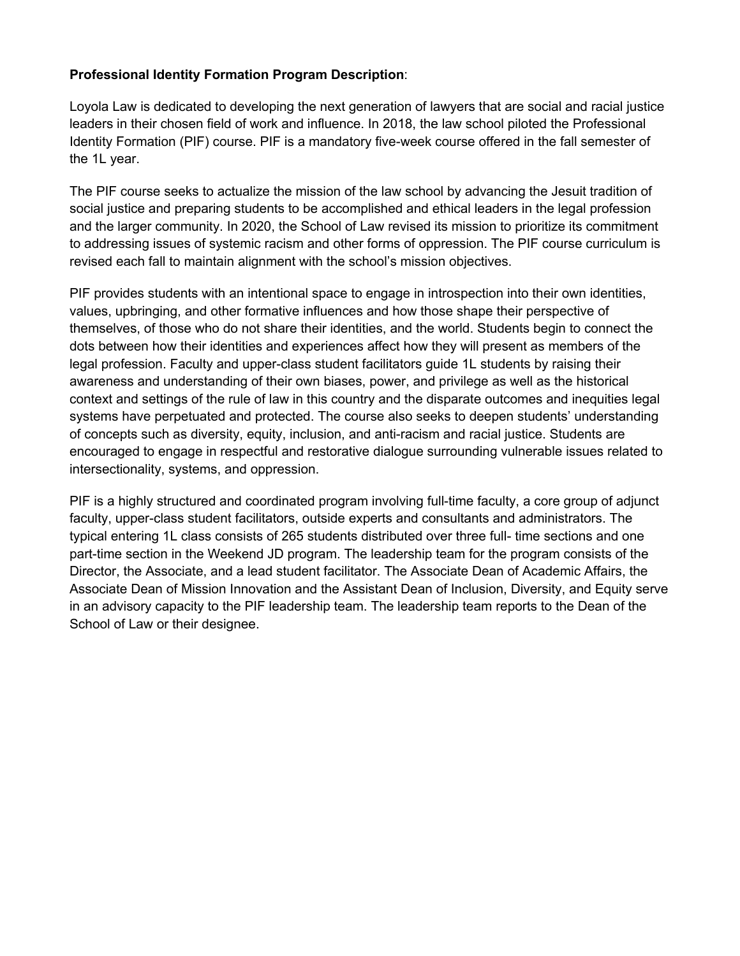## **Professional Identity Formation Program Description**:

Loyola Law is dedicated to developing the next generation of lawyers that are social and racial justice leaders in their chosen field of work and influence. In 2018, the law school piloted the Professional Identity Formation (PIF) course. PIF is a mandatory five-week course offered in the fall semester of the 1L year.

The PIF course seeks to actualize the mission of the law school by advancing the Jesuit tradition of social justice and preparing students to be accomplished and ethical leaders in the legal profession and the larger community. In 2020, the School of Law revised its mission to prioritize its commitment to addressing issues of systemic racism and other forms of oppression. The PIF course curriculum is revised each fall to maintain alignment with the school's mission objectives.

PIF provides students with an intentional space to engage in introspection into their own identities, values, upbringing, and other formative influences and how those shape their perspective of themselves, of those who do not share their identities, and the world. Students begin to connect the dots between how their identities and experiences affect how they will present as members of the legal profession. Faculty and upper-class student facilitators guide 1L students by raising their awareness and understanding of their own biases, power, and privilege as well as the historical context and settings of the rule of law in this country and the disparate outcomes and inequities legal systems have perpetuated and protected. The course also seeks to deepen students' understanding of concepts such as diversity, equity, inclusion, and anti-racism and racial justice. Students are encouraged to engage in respectful and restorative dialogue surrounding vulnerable issues related to intersectionality, systems, and oppression.

PIF is a highly structured and coordinated program involving full-time faculty, a core group of adjunct faculty, upper-class student facilitators, outside experts and consultants and administrators. The typical entering 1L class consists of 265 students distributed over three full- time sections and one part-time section in the Weekend JD program. The leadership team for the program consists of the Director, the Associate, and a lead student facilitator. The Associate Dean of Academic Affairs, the Associate Dean of Mission Innovation and the Assistant Dean of Inclusion, Diversity, and Equity serve in an advisory capacity to the PIF leadership team. The leadership team reports to the Dean of the School of Law or their designee.